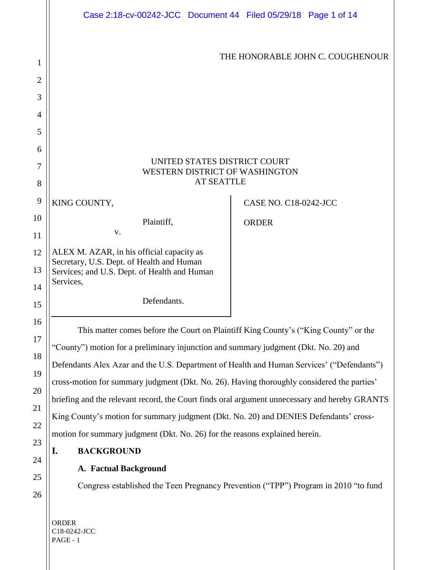|                | Case 2:18-cv-00242-JCC Document 44 Filed 05/29/18 Page 1 of 14                                                      |                              |
|----------------|---------------------------------------------------------------------------------------------------------------------|------------------------------|
| 1              | THE HONORABLE JOHN C. COUGHENOUR                                                                                    |                              |
| $\overline{2}$ |                                                                                                                     |                              |
| 3              |                                                                                                                     |                              |
| $\overline{4}$ |                                                                                                                     |                              |
| 5              |                                                                                                                     |                              |
| 6              | UNITED STATES DISTRICT COURT                                                                                        |                              |
| 7              | WESTERN DISTRICT OF WASHINGTON<br><b>AT SEATTLE</b>                                                                 |                              |
| 8              |                                                                                                                     |                              |
| 9              | KING COUNTY,                                                                                                        | <b>CASE NO. C18-0242-JCC</b> |
| 10             | Plaintiff,<br>V.                                                                                                    | <b>ORDER</b>                 |
| 11<br>12       | ALEX M. AZAR, in his official capacity as                                                                           |                              |
| 13             | Secretary, U.S. Dept. of Health and Human                                                                           |                              |
| 14             | Services; and U.S. Dept. of Health and Human<br>Services,                                                           |                              |
| 15             | Defendants.                                                                                                         |                              |
| 16             |                                                                                                                     |                              |
| 17             | This matter comes before the Court on Plaintiff King County's ("King County" or the                                 |                              |
| 18             | "County") motion for a preliminary injunction and summary judgment (Dkt. No. 20) and                                |                              |
| 19             | Defendants Alex Azar and the U.S. Department of Health and Human Services' ("Defendants")                           |                              |
| 20             | cross-motion for summary judgment (Dkt. No. 26). Having thoroughly considered the parties'                          |                              |
| 21             | briefing and the relevant record, the Court finds oral argument unnecessary and hereby GRANTS                       |                              |
| 22             | King County's motion for summary judgment (Dkt. No. 20) and DENIES Defendants' cross-                               |                              |
| 23             | motion for summary judgment (Dkt. No. 26) for the reasons explained herein.                                         |                              |
| 24             | <b>BACKGROUND</b><br>I.                                                                                             |                              |
| 25             | <b>A. Factual Background</b><br>Congress established the Teen Pregnancy Prevention ("TPP") Program in 2010 "to fund |                              |
| 26             |                                                                                                                     |                              |
|                |                                                                                                                     |                              |
|                | ORDER                                                                                                               |                              |

C18-0242-JCC PAGE - 1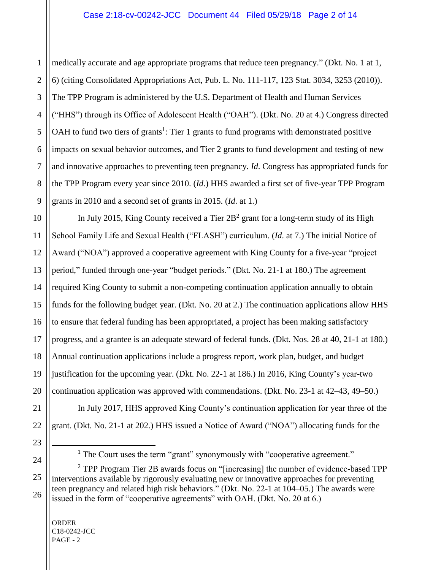medically accurate and age appropriate programs that reduce teen pregnancy." (Dkt. No. 1 at 1, 6) (citing Consolidated Appropriations Act, Pub. L. No. 111-117, 123 Stat. 3034, 3253 (2010)). The TPP Program is administered by the U.S. Department of Health and Human Services ("HHS") through its Office of Adolescent Health ("OAH"). (Dkt. No. 20 at 4.) Congress directed OAH to fund two tiers of grants<sup>1</sup>: Tier 1 grants to fund programs with demonstrated positive impacts on sexual behavior outcomes, and Tier 2 grants to fund development and testing of new and innovative approaches to preventing teen pregnancy. *Id*. Congress has appropriated funds for the TPP Program every year since 2010. (*Id*.) HHS awarded a first set of five-year TPP Program grants in 2010 and a second set of grants in 2015. (*Id*. at 1.)

In July 2015, King County received a Tier  $2B<sup>2</sup>$  grant for a long-term study of its High School Family Life and Sexual Health ("FLASH") curriculum. (*Id*. at 7.) The initial Notice of Award ("NOA") approved a cooperative agreement with King County for a five-year "project period," funded through one-year "budget periods." (Dkt. No. 21-1 at 180.) The agreement required King County to submit a non-competing continuation application annually to obtain funds for the following budget year. (Dkt. No. 20 at 2.) The continuation applications allow HHS to ensure that federal funding has been appropriated, a project has been making satisfactory progress, and a grantee is an adequate steward of federal funds. (Dkt. Nos. 28 at 40, 21-1 at 180.) Annual continuation applications include a progress report, work plan, budget, and budget justification for the upcoming year. (Dkt. No. 22-1 at 186.) In 2016, King County's year-two continuation application was approved with commendations. (Dkt. No. 23-1 at 42–43, 49–50.)

In July 2017, HHS approved King County's continuation application for year three of the grant. (Dkt. No. 21-1 at 202.) HHS issued a Notice of Award ("NOA") allocating funds for the

ORDER C18-0242-JCC  $PAGE - 2$ 

 $\overline{a}$ 

<sup>&</sup>lt;sup>1</sup> The Court uses the term "grant" synonymously with "cooperative agreement."

<sup>&</sup>lt;sup>2</sup> TPP Program Tier 2B awards focus on "[increasing] the number of evidence-based TPP interventions available by rigorously evaluating new or innovative approaches for preventing teen pregnancy and related high risk behaviors." (Dkt. No. 22-1 at 104–05.) The awards were issued in the form of "cooperative agreements" with OAH. (Dkt. No. 20 at 6.)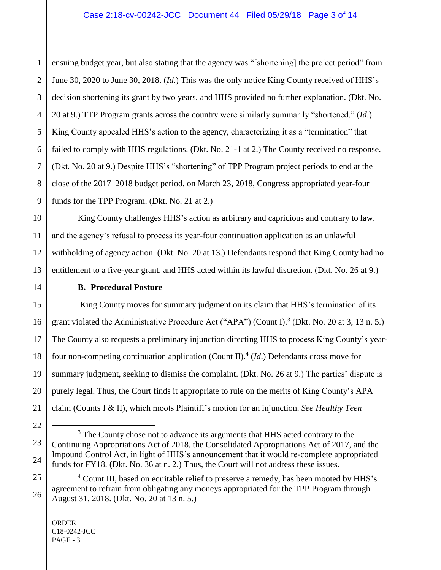ensuing budget year, but also stating that the agency was "[shortening] the project period" from June 30, 2020 to June 30, 2018. (*Id*.) This was the only notice King County received of HHS's decision shortening its grant by two years, and HHS provided no further explanation. (Dkt. No. 20 at 9.) TTP Program grants across the country were similarly summarily "shortened." (*Id*.) King County appealed HHS's action to the agency, characterizing it as a "termination" that failed to comply with HHS regulations. (Dkt. No. 21-1 at 2.) The County received no response. (Dkt. No. 20 at 9.) Despite HHS's "shortening" of TPP Program project periods to end at the close of the 2017–2018 budget period, on March 23, 2018, Congress appropriated year-four funds for the TPP Program. (Dkt. No. 21 at 2.)

King County challenges HHS's action as arbitrary and capricious and contrary to law, and the agency's refusal to process its year-four continuation application as an unlawful withholding of agency action. (Dkt. No. 20 at 13.) Defendants respond that King County had no entitlement to a five-year grant, and HHS acted within its lawful discretion. (Dkt. No. 26 at 9.)

## **B. Procedural Posture**

King County moves for summary judgment on its claim that HHS's termination of its grant violated the Administrative Procedure Act ("APA") (Count I).<sup>3</sup> (Dkt. No. 20 at 3, 13 n. 5.) The County also requests a preliminary injunction directing HHS to process King County's yearfour non-competing continuation application (Count II). 4 (*Id*.) Defendants cross move for summary judgment, seeking to dismiss the complaint. (Dkt. No. 26 at 9.) The parties' dispute is purely legal. Thus, the Court finds it appropriate to rule on the merits of King County's APA claim (Counts I & II), which moots Plaintiff's motion for an injunction. *See Healthy Teen* 

ORDER C18-0242-JCC PAGE - 3

 $\overline{a}$ 

1

<sup>&</sup>lt;sup>3</sup> The County chose not to advance its arguments that HHS acted contrary to the Continuing Appropriations Act of 2018, the Consolidated Appropriations Act of 2017, and the Impound Control Act, in light of HHS's announcement that it would re-complete appropriated funds for FY18. (Dkt. No. 36 at n. 2.) Thus, the Court will not address these issues.

<sup>&</sup>lt;sup>4</sup> Count III, based on equitable relief to preserve a remedy, has been mooted by HHS's agreement to refrain from obligating any moneys appropriated for the TPP Program through August 31, 2018. (Dkt. No. 20 at 13 n. 5.)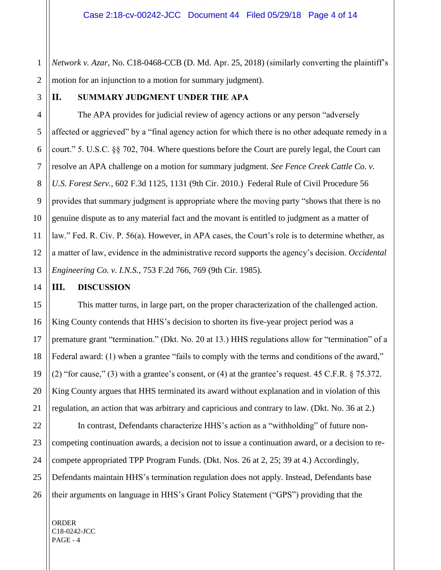1 2 *Network v. Azar*, No. C18-0468-CCB (D. Md. Apr. 25, 2018) (similarly converting the plaintiff's motion for an injunction to a motion for summary judgment).

3

## **II. SUMMARY JUDGMENT UNDER THE APA**

The APA provides for judicial review of agency actions or any person "adversely affected or aggrieved" by a "final agency action for which there is no other adequate remedy in a court." 5. U.S.C. §§ 702, 704. Where questions before the Court are purely legal, the Court can resolve an APA challenge on a motion for summary judgment. *See Fence Creek Cattle Co. v. U.S. Forest Serv.*, 602 F.3d 1125, 1131 (9th Cir. 2010.) Federal Rule of Civil Procedure 56 provides that summary judgment is appropriate where the moving party "shows that there is no genuine dispute as to any material fact and the movant is entitled to judgment as a matter of law." Fed. R. Civ. P. 56(a). However, in APA cases, the Court's role is to determine whether, as a matter of law, evidence in the administrative record supports the agency's decision. *Occidental Engineering Co. v. I.N.S.*, 753 F.2d 766, 769 (9th Cir. 1985).

#### **III. DISCUSSION**

This matter turns, in large part, on the proper characterization of the challenged action. King County contends that HHS's decision to shorten its five-year project period was a premature grant "termination." (Dkt. No. 20 at 13.) HHS regulations allow for "termination" of a Federal award: (1) when a grantee "fails to comply with the terms and conditions of the award," (2) "for cause," (3) with a grantee's consent, or (4) at the grantee's request. 45 C.F.R. § 75.372. King County argues that HHS terminated its award without explanation and in violation of this regulation, an action that was arbitrary and capricious and contrary to law. (Dkt. No. 36 at 2.)

In contrast, Defendants characterize HHS's action as a "withholding" of future noncompeting continuation awards, a decision not to issue a continuation award, or a decision to recompete appropriated TPP Program Funds. (Dkt. Nos. 26 at 2, 25; 39 at 4.) Accordingly, Defendants maintain HHS's termination regulation does not apply. Instead, Defendants base their arguments on language in HHS's Grant Policy Statement ("GPS") providing that the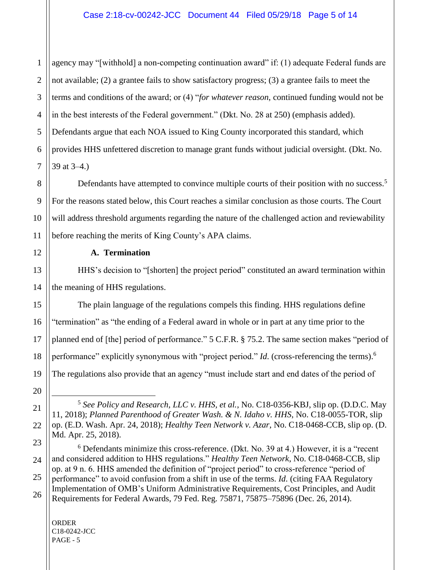1 agency may "[withhold] a non-competing continuation award" if: (1) adequate Federal funds are not available; (2) a grantee fails to show satisfactory progress; (3) a grantee fails to meet the terms and conditions of the award; or (4) "*for whatever reason*, continued funding would not be in the best interests of the Federal government." (Dkt. No. 28 at 250) (emphasis added). Defendants argue that each NOA issued to King County incorporated this standard, which provides HHS unfettered discretion to manage grant funds without judicial oversight. (Dkt. No. 39 at 3–4.)

Defendants have attempted to convince multiple courts of their position with no success.<sup>5</sup> For the reasons stated below, this Court reaches a similar conclusion as those courts. The Court will address threshold arguments regarding the nature of the challenged action and reviewability before reaching the merits of King County's APA claims.

## **A. Termination**

HHS's decision to "[shorten] the project period" constituted an award termination within the meaning of HHS regulations.

The plain language of the regulations compels this finding. HHS regulations define "termination" as "the ending of a Federal award in whole or in part at any time prior to the planned end of [the] period of performance." 5 C.F.R. § 75.2. The same section makes "period of performance" explicitly synonymous with "project period." *Id.* (cross-referencing the terms).<sup>6</sup> The regulations also provide that an agency "must include start and end dates of the period of

ORDER C18-0242-JCC PAGE - 5

 $\overline{a}$ 

<sup>5</sup> *See Policy and Research, LLC v. HHS, et al.*, No. C18-0356-KBJ, slip op. (D.D.C. May 11, 2018); *Planned Parenthood of Greater Wash. & N. Idaho v. HHS*, No. C18-0055-TOR, slip op. (E.D. Wash. Apr. 24, 2018); *Healthy Teen Network v. Azar*, No. C18-0468-CCB, slip op. (D. Md. Apr. 25, 2018).

 $6$  Defendants minimize this cross-reference. (Dkt. No. 39 at 4.) However, it is a "recent and considered addition to HHS regulations." *Healthy Teen Network*, No. C18-0468-CCB, slip op. at 9 n. 6. HHS amended the definition of "project period" to cross-reference "period of performance" to avoid confusion from a shift in use of the terms. *Id*. (citing FAA Regulatory Implementation of OMB's Uniform Administrative Requirements, Cost Principles, and Audit Requirements for Federal Awards, 79 Fed. Reg. 75871, 75875–75896 (Dec. 26, 2014).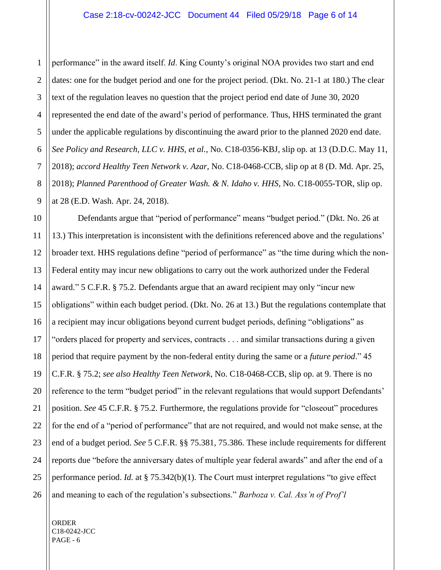2 3 performance" in the award itself. *Id*. King County's original NOA provides two start and end dates: one for the budget period and one for the project period. (Dkt. No. 21-1 at 180.) The clear text of the regulation leaves no question that the project period end date of June 30, 2020 represented the end date of the award's period of performance. Thus, HHS terminated the grant under the applicable regulations by discontinuing the award prior to the planned 2020 end date. *See Policy and Research, LLC v. HHS, et al.*, No. C18-0356-KBJ, slip op. at 13 (D.D.C. May 11, 2018); *accord Healthy Teen Network v. Azar*, No. C18-0468-CCB, slip op at 8 (D. Md. Apr. 25, 2018); *Planned Parenthood of Greater Wash. & N. Idaho v. HHS*, No. C18-0055-TOR, slip op. at 28 (E.D. Wash. Apr. 24, 2018).

Defendants argue that "period of performance" means "budget period." (Dkt. No. 26 at 13.) This interpretation is inconsistent with the definitions referenced above and the regulations' broader text. HHS regulations define "period of performance" as "the time during which the non-Federal entity may incur new obligations to carry out the work authorized under the Federal award." 5 C.F.R. § 75.2. Defendants argue that an award recipient may only "incur new obligations" within each budget period. (Dkt. No. 26 at 13.) But the regulations contemplate that a recipient may incur obligations beyond current budget periods, defining "obligations" as "orders placed for property and services, contracts . . . and similar transactions during a given period that require payment by the non-federal entity during the same or a *future period*." 45 C.F.R. § 75.2; *see also Healthy Teen Network*, No. C18-0468-CCB, slip op. at 9. There is no reference to the term "budget period" in the relevant regulations that would support Defendants' position. *See* 45 C.F.R. § 75.2. Furthermore, the regulations provide for "closeout" procedures for the end of a "period of performance" that are not required, and would not make sense, at the end of a budget period. *See* 5 C.F.R. §§ 75.381, 75.386. These include requirements for different reports due "before the anniversary dates of multiple year federal awards" and after the end of a performance period. *Id.* at § 75.342(b)(1). The Court must interpret regulations "to give effect and meaning to each of the regulation's subsections." *Barboza v. Cal. Ass'n of Prof'l* 

ORDER C18-0242-JCC PAGE - 6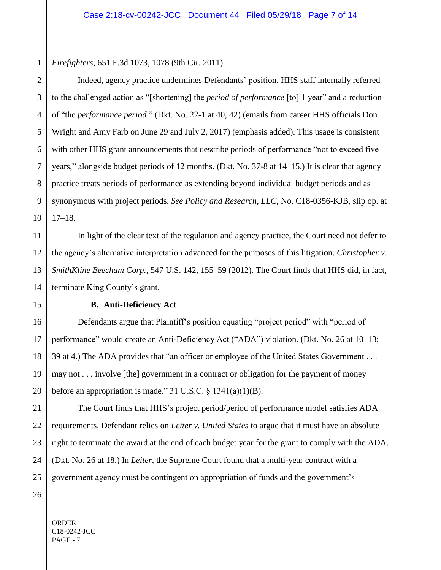1 *Firefighters*, 651 F.3d 1073, 1078 (9th Cir. 2011).

Indeed, agency practice undermines Defendants' position. HHS staff internally referred to the challenged action as "[shortening] the *period of performance* [to] 1 year" and a reduction of "the *performance period*." (Dkt. No. 22-1 at 40, 42) (emails from career HHS officials Don Wright and Amy Farb on June 29 and July 2, 2017) (emphasis added). This usage is consistent with other HHS grant announcements that describe periods of performance "not to exceed five years," alongside budget periods of 12 months. (Dkt. No. 37-8 at 14–15.) It is clear that agency practice treats periods of performance as extending beyond individual budget periods and as synonymous with project periods. *See Policy and Research, LLC*, No. C18-0356-KJB, slip op. at 17–18.

In light of the clear text of the regulation and agency practice, the Court need not defer to the agency's alternative interpretation advanced for the purposes of this litigation. *Christopher v. SmithKline Beecham Corp.*, 547 U.S. 142, 155–59 (2012). The Court finds that HHS did, in fact, terminate King County's grant.

## **B. Anti-Deficiency Act**

Defendants argue that Plaintiff's position equating "project period" with "period of performance" would create an Anti-Deficiency Act ("ADA") violation. (Dkt. No. 26 at 10–13; 39 at 4.) The ADA provides that "an officer or employee of the United States Government . . . may not . . . involve [the] government in a contract or obligation for the payment of money before an appropriation is made." 31 U.S.C.  $\S$  1341(a)(1)(B).

The Court finds that HHS's project period/period of performance model satisfies ADA requirements. Defendant relies on *Leiter v. United States* to argue that it must have an absolute right to terminate the award at the end of each budget year for the grant to comply with the ADA. (Dkt. No. 26 at 18.) In *Leiter*, the Supreme Court found that a multi-year contract with a government agency must be contingent on appropriation of funds and the government's

2

3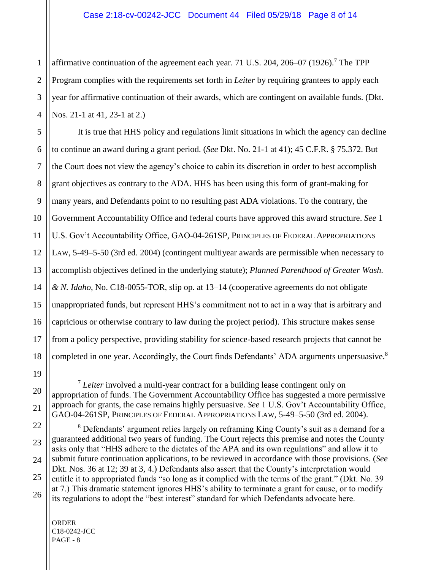1 affirmative continuation of the agreement each year. 71 U.S. 204, 206–07 (1926).<sup>7</sup> The TPP Program complies with the requirements set forth in *Leiter* by requiring grantees to apply each year for affirmative continuation of their awards, which are contingent on available funds. (Dkt. Nos. 21-1 at 41, 23-1 at 2.)

It is true that HHS policy and regulations limit situations in which the agency can decline to continue an award during a grant period. (*See* Dkt. No. 21-1 at 41); 45 C.F.R. § 75.372. But the Court does not view the agency's choice to cabin its discretion in order to best accomplish grant objectives as contrary to the ADA. HHS has been using this form of grant-making for many years, and Defendants point to no resulting past ADA violations. To the contrary, the Government Accountability Office and federal courts have approved this award structure. *See* 1 U.S. Gov't Accountability Office, GAO-04-261SP, PRINCIPLES OF FEDERAL APPROPRIATIONS LAW, 5-49–5-50 (3rd ed. 2004) (contingent multiyear awards are permissible when necessary to accomplish objectives defined in the underlying statute); *Planned Parenthood of Greater Wash. & N. Idaho*, No. C18-0055-TOR, slip op. at 13–14 (cooperative agreements do not obligate unappropriated funds, but represent HHS's commitment not to act in a way that is arbitrary and capricious or otherwise contrary to law during the project period). This structure makes sense from a policy perspective, providing stability for science-based research projects that cannot be completed in one year. Accordingly, the Court finds Defendants' ADA arguments unpersuasive.<sup>8</sup>

 $\overline{a}$ <sup>7</sup> Leiter involved a multi-year contract for a building lease contingent only on appropriation of funds. The Government Accountability Office has suggested a more permissive approach for grants, the case remains highly persuasive. *See* 1 U.S. Gov't Accountability Office, GAO-04-261SP, PRINCIPLES OF FEDERAL APPROPRIATIONS LAW, 5-49–5-50 (3rd ed. 2004).

<sup>&</sup>lt;sup>8</sup> Defendants' argument relies largely on reframing King County's suit as a demand for a guaranteed additional two years of funding. The Court rejects this premise and notes the County asks only that "HHS adhere to the dictates of the APA and its own regulations" and allow it to submit future continuation applications, to be reviewed in accordance with those provisions. (*See*  Dkt. Nos. 36 at 12; 39 at 3, 4.) Defendants also assert that the County's interpretation would entitle it to appropriated funds "so long as it complied with the terms of the grant." (Dkt. No. 39 at 7.) This dramatic statement ignores HHS's ability to terminate a grant for cause, or to modify its regulations to adopt the "best interest" standard for which Defendants advocate here.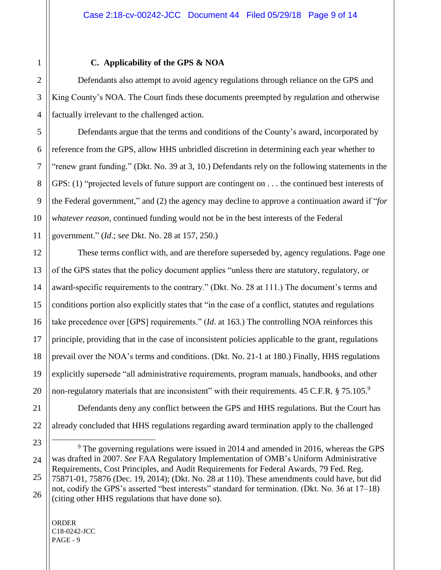## **C. Applicability of the GPS & NOA**

Defendants also attempt to avoid agency regulations through reliance on the GPS and King County's NOA. The Court finds these documents preempted by regulation and otherwise factually irrelevant to the challenged action.

Defendants argue that the terms and conditions of the County's award, incorporated by reference from the GPS, allow HHS unbridled discretion in determining each year whether to "renew grant funding." (Dkt. No. 39 at 3, 10.) Defendants rely on the following statements in the GPS: (1) "projected levels of future support are contingent on . . . the continued best interests of the Federal government," and (2) the agency may decline to approve a continuation award if "*for whatever reason*, continued funding would not be in the best interests of the Federal government." (*Id*.; s*ee* Dkt. No. 28 at 157, 250.)

These terms conflict with, and are therefore superseded by, agency regulations. Page one of the GPS states that the policy document applies "unless there are statutory, regulatory, or award-specific requirements to the contrary." (Dkt. No. 28 at 111.) The document's terms and conditions portion also explicitly states that "in the case of a conflict, statutes and regulations take precedence over [GPS] requirements." (*Id*. at 163.) The controlling NOA reinforces this principle, providing that in the case of inconsistent policies applicable to the grant, regulations prevail over the NOA's terms and conditions. (Dkt. No. 21-1 at 180.) Finally, HHS regulations explicitly supersede "all administrative requirements, program manuals, handbooks, and other non-regulatory materials that are inconsistent" with their requirements.  $45$  C.F.R. §  $75.105$ .<sup>9</sup>

Defendants deny any conflict between the GPS and HHS regulations. But the Court has already concluded that HHS regulations regarding award termination apply to the challenged

ORDER C18-0242-JCC PAGE - 9

 $\overline{a}$ 

<sup>&</sup>lt;sup>9</sup> The governing regulations were issued in 2014 and amended in 2016, whereas the GPS was drafted in 2007. *See* FAA Regulatory Implementation of OMB's Uniform Administrative Requirements, Cost Principles, and Audit Requirements for Federal Awards, 79 Fed. Reg. 75871-01, 75876 (Dec. 19, 2014); (Dkt. No. 28 at 110). These amendments could have, but did not, codify the GPS's asserted "best interests" standard for termination. (Dkt. No. 36 at 17–18) (citing other HHS regulations that have done so).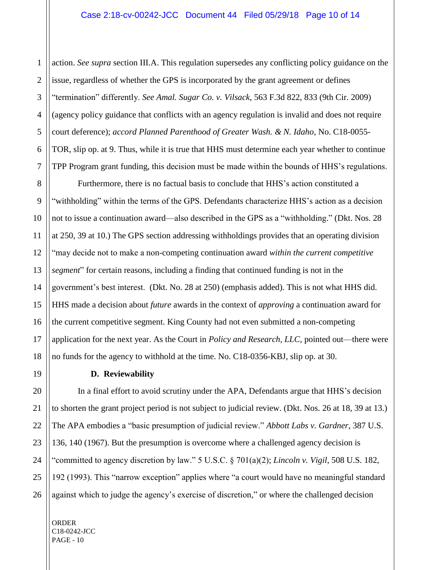action. *See supra* section III.A. This regulation supersedes any conflicting policy guidance on the issue, regardless of whether the GPS is incorporated by the grant agreement or defines "termination" differently. *See Amal. Sugar Co. v. Vilsack*, 563 F.3d 822, 833 (9th Cir. 2009) (agency policy guidance that conflicts with an agency regulation is invalid and does not require court deference); *accord Planned Parenthood of Greater Wash. & N. Idaho*, No. C18-0055- TOR, slip op. at 9. Thus, while it is true that HHS must determine each year whether to continue TPP Program grant funding, this decision must be made within the bounds of HHS's regulations.

Furthermore, there is no factual basis to conclude that HHS's action constituted a "withholding" within the terms of the GPS. Defendants characterize HHS's action as a decision not to issue a continuation award—also described in the GPS as a "withholding." (Dkt. Nos. 28 at 250, 39 at 10.) The GPS section addressing withholdings provides that an operating division "may decide not to make a non-competing continuation award *within the current competitive segment*" for certain reasons, including a finding that continued funding is not in the government's best interest. (Dkt. No. 28 at 250) (emphasis added). This is not what HHS did. HHS made a decision about *future* awards in the context of *approving* a continuation award for the current competitive segment. King County had not even submitted a non-competing application for the next year. As the Court in *Policy and Research, LLC*, pointed out—there were no funds for the agency to withhold at the time. No. C18-0356-KBJ, slip op. at 30.

#### **D. Reviewability**

In a final effort to avoid scrutiny under the APA, Defendants argue that HHS's decision to shorten the grant project period is not subject to judicial review. (Dkt. Nos. 26 at 18, 39 at 13.) The APA embodies a "basic presumption of judicial review." *Abbott Labs v. Gardner*, 387 U.S. 136, 140 (1967). But the presumption is overcome where a challenged agency decision is "committed to agency discretion by law." 5 U.S.C. § 701(a)(2); *Lincoln v. Vigil*, 508 U.S. 182, 192 (1993). This "narrow exception" applies where "a court would have no meaningful standard against which to judge the agency's exercise of discretion," or where the challenged decision

ORDER C18-0242-JCC PAGE - 10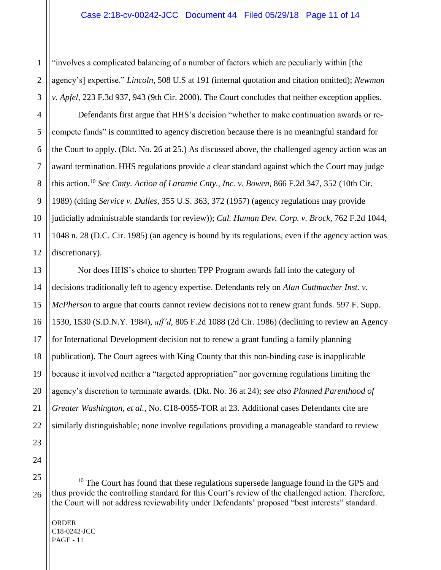"involves a complicated balancing of a number of factors which are peculiarly within [the agency's] expertise." *Lincoln*, 508 U.S at 191 (internal quotation and citation omitted); *Newman v. Apfel*, 223 F.3d 937, 943 (9th Cir. 2000). The Court concludes that neither exception applies.

Defendants first argue that HHS's decision "whether to make continuation awards or recompete funds" is committed to agency discretion because there is no meaningful standard for the Court to apply. (Dkt. No. 26 at 25.) As discussed above, the challenged agency action was an award termination. HHS regulations provide a clear standard against which the Court may judge this action.<sup>10</sup> *See Cmty. Action of Laramie Cnty., Inc. v. Bowen*, 866 F.2d 347, 352 (10th Cir. 1989) (citing *Service v. Dulles*, 355 U.S. 363, 372 (1957) (agency regulations may provide judicially administrable standards for review)); *Cal. Human Dev. Corp. v. Brock*, 762 F.2d 1044, 1048 n. 28 (D.C. Cir. 1985) (an agency is bound by its regulations, even if the agency action was discretionary).

Nor does HHS's choice to shorten TPP Program awards fall into the category of decisions traditionally left to agency expertise. Defendants rely on *Alan Cuttmacher Inst. v. McPherson* to argue that courts cannot review decisions not to renew grant funds. 597 F. Supp. 1530, 1530 (S.D.N.Y. 1984), *aff'd*, 805 F.2d 1088 (2d Cir. 1986) (declining to review an Agency for International Development decision not to renew a grant funding a family planning publication). The Court agrees with King County that this non-binding case is inapplicable because it involved neither a "targeted appropriation" nor governing regulations limiting the agency's discretion to terminate awards. (Dkt. No. 36 at 24); *see also Planned Parenthood of Greater Washington, et al.*, No. C18-0055-TOR at 23. Additional cases Defendants cite are similarly distinguishable; none involve regulations providing a manageable standard to review

 $\overline{a}$ 

 $10$  The Court has found that these regulations supersede language found in the GPS and thus provide the controlling standard for this Court's review of the challenged action. Therefore, the Court will not address reviewability under Defendants' proposed "best interests" standard.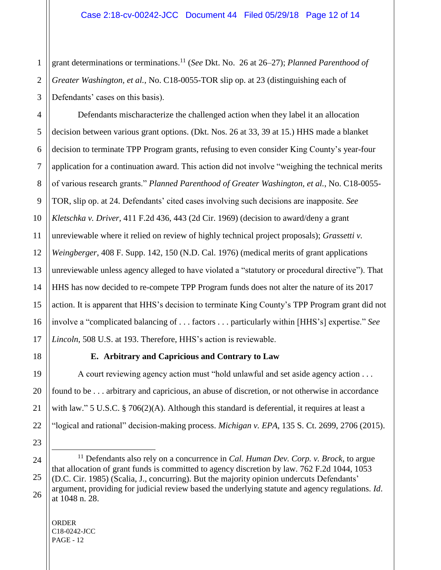1 grant determinations or terminations. <sup>11</sup> (*See* Dkt. No. 26 at 26–27); *Planned Parenthood of Greater Washington, et al.*, No. C18-0055-TOR slip op. at 23 (distinguishing each of Defendants' cases on this basis).

Defendants mischaracterize the challenged action when they label it an allocation decision between various grant options. (Dkt. Nos. 26 at 33, 39 at 15.) HHS made a blanket decision to terminate TPP Program grants, refusing to even consider King County's year-four application for a continuation award. This action did not involve "weighing the technical merits of various research grants." *Planned Parenthood of Greater Washington, et al.*, No. C18-0055- TOR, slip op. at 24. Defendants' cited cases involving such decisions are inapposite. *See Kletschka v. Driver*, 411 F.2d 436, 443 (2d Cir. 1969) (decision to award/deny a grant unreviewable where it relied on review of highly technical project proposals); *Grassetti v. Weingberger*, 408 F. Supp. 142, 150 (N.D. Cal. 1976) (medical merits of grant applications unreviewable unless agency alleged to have violated a "statutory or procedural directive"). That HHS has now decided to re-compete TPP Program funds does not alter the nature of its 2017 action. It is apparent that HHS's decision to terminate King County's TPP Program grant did not involve a "complicated balancing of . . . factors . . . particularly within [HHS's] expertise." *See Lincoln*, 508 U.S. at 193. Therefore, HHS's action is reviewable.

# **E. Arbitrary and Capricious and Contrary to Law**

A court reviewing agency action must "hold unlawful and set aside agency action . . . found to be . . . arbitrary and capricious, an abuse of discretion, or not otherwise in accordance with law." 5 U.S.C. § 706(2)(A). Although this standard is deferential, it requires at least a "logical and rational" decision-making process. *Michigan v. EPA*, 135 S. Ct. 2699, 2706 (2015).

ORDER C18-0242-JCC PAGE - 12

 $\overline{a}$ 

<sup>11</sup> Defendants also rely on a concurrence in *Cal. Human Dev. Corp. v. Brock*, to argue that allocation of grant funds is committed to agency discretion by law. 762 F.2d 1044, 1053 (D.C. Cir. 1985) (Scalia, J., concurring). But the majority opinion undercuts Defendants' argument, providing for judicial review based the underlying statute and agency regulations. *Id*. at 1048 n. 28.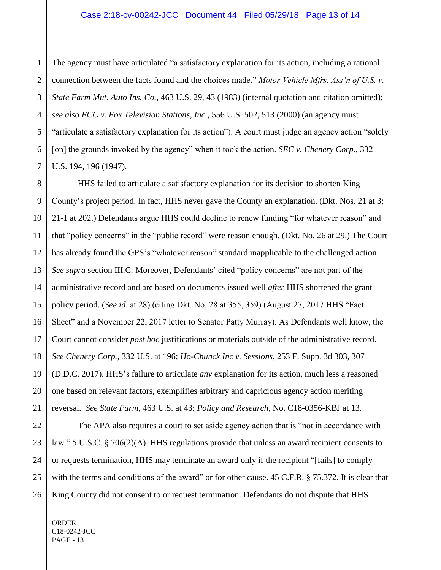1 2 The agency must have articulated "a satisfactory explanation for its action, including a rational connection between the facts found and the choices made." *Motor Vehicle Mfrs. Ass'n of U.S. v. State Farm Mut. Auto Ins. Co.*, 463 U.S. 29, 43 (1983) (internal quotation and citation omitted); *see also FCC v. Fox Television Stations, Inc.*, 556 U.S. 502, 513 (2000) (an agency must "articulate a satisfactory explanation for its action"). A court must judge an agency action "solely [on] the grounds invoked by the agency" when it took the action. *SEC v. Chenery Corp.*, 332 U.S. 194, 196 (1947).

HHS failed to articulate a satisfactory explanation for its decision to shorten King County's project period. In fact, HHS never gave the County an explanation. (Dkt. Nos. 21 at 3; 21-1 at 202.) Defendants argue HHS could decline to renew funding "for whatever reason" and that "policy concerns" in the "public record" were reason enough. (Dkt. No. 26 at 29.) The Court has already found the GPS's "whatever reason" standard inapplicable to the challenged action. *See supra* section III.C. Moreover, Defendants' cited "policy concerns" are not part of the administrative record and are based on documents issued well *after* HHS shortened the grant policy period. (*See id*. at 28) (citing Dkt. No. 28 at 355, 359) (August 27, 2017 HHS "Fact Sheet" and a November 22, 2017 letter to Senator Patty Murray). As Defendants well know, the Court cannot consider *post hoc* justifications or materials outside of the administrative record. *See Chenery Corp.*, 332 U.S. at 196; *Ho-Chunck Inc v. Sessions*, 253 F. Supp. 3d 303, 307 (D.D.C. 2017). HHS's failure to articulate *any* explanation for its action, much less a reasoned one based on relevant factors, exemplifies arbitrary and capricious agency action meriting reversal. *See State Farm*, 463 U.S. at 43; *Policy and Research*, No. C18-0356-KBJ at 13.

The APA also requires a court to set aside agency action that is "not in accordance with law." 5 U.S.C. § 706(2)(A). HHS regulations provide that unless an award recipient consents to or requests termination, HHS may terminate an award only if the recipient "[fails] to comply with the terms and conditions of the award" or for other cause. 45 C.F.R. § 75.372. It is clear that King County did not consent to or request termination. Defendants do not dispute that HHS